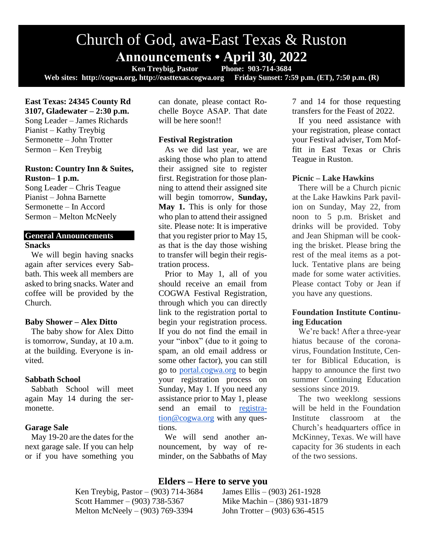# Church of God, awa-East Texas & Ruston **Announcements • April 30, 2022**<br>Ken Treybig, Pastor Phone: 903-714-3684

**Ken Treybig, Pastor Web sites: http://cogwa.org, http://easttexas.cogwa.org Friday Sunset: 7:59 p.m. (ET), 7:50 p.m. (R)**

**East Texas: 24345 County Rd 3107, Gladewater – 2:30 p.m.** Song Leader – James Richards Pianist – Kathy Treybig Sermonette – John Trotter Sermon – Ken Treybig

## **Ruston: Country Inn & Suites, Ruston– 1 p.m.**

Song Leader – Chris Teague Pianist – Johna Barnette Sermonette – In Accord Sermon – Melton McNeely

# **General Announcements Snacks**

We will begin having snacks again after services every Sabbath. This week all members are asked to bring snacks. Water and coffee will be provided by the Church.

#### **Baby Shower – Alex Ditto**

The baby show for Alex Ditto is tomorrow, Sunday, at 10 a.m. at the building. Everyone is invited.

## **Sabbath School**

Sabbath School will meet again May 14 during the sermonette.

## **Garage Sale**

May 19-20 are the dates for the next garage sale. If you can help or if you have something you can donate, please contact Rochelle Boyce ASAP. That date will be here soon!!

## **Festival Registration**

As we did last year, we are asking those who plan to attend their assigned site to register first. Registration for those planning to attend their assigned site will begin tomorrow, **Sunday, May 1.** This is only for those who plan to attend their assigned site. Please note: It is imperative that you register prior to May 15, as that is the day those wishing to transfer will begin their registration process.

Prior to May 1, all of you should receive an email from COGWA Festival Registration, through which you can directly link to the registration portal to begin your registration process. If you do not find the email in your "inbox" (due to it going to spam, an old email address or some other factor), you can still go to [portal.cogwa.org](https://portal.cogwa.org/) to begin your registration process on Sunday, May 1. If you need any assistance prior to May 1, please send an email to [registra](mailto:registration@cogwa.org)[tion@cogwa.org](mailto:registration@cogwa.org) with any questions.

We will send another announcement, by way of reminder, on the Sabbaths of May 7 and 14 for those requesting transfers for the Feast of 2022.

If you need assistance with your registration, please contact your Festival adviser, Tom Moffitt in East Texas or Chris Teague in Ruston.

## **Picnic – Lake Hawkins**

There will be a Church picnic at the Lake Hawkins Park pavilion on Sunday, May 22, from noon to 5 p.m. Brisket and drinks will be provided. Toby and Jean Shipman will be cooking the brisket. Please bring the rest of the meal items as a potluck. Tentative plans are being made for some water activities. Please contact Toby or Jean if you have any questions.

# **Foundation Institute Continuing Education**

We're back! After a three-year hiatus because of the coronavirus, Foundation Institute, Center for Biblical Education, is happy to announce the first two summer Continuing Education sessions since 2019.

The two weeklong sessions will be held in the Foundation Institute classroom at the Church's headquarters office in McKinney, Texas. We will have capacity for 36 students in each of the two sessions.

## **Elders – Here to serve you**

Ken Treybig, Pastor – (903) 714-3684 James Ellis – (903) 261-1928 Scott Hammer – (903) 738-5367 Mike Machin – (386) 931-1879 Melton McNeely – (903) 769-3394 John Trotter – (903) 636-4515